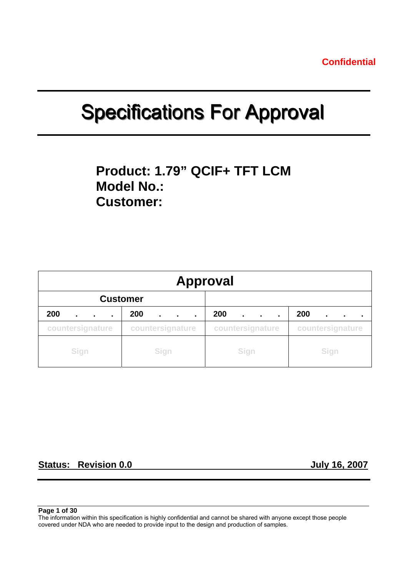# **Specifications For Approval**

## **Product: 1.79" QCIF+ TFT LCM Model No.: Customer:**

| <b>Approval</b>                         |                  |                  |                  |  |  |  |  |
|-----------------------------------------|------------------|------------------|------------------|--|--|--|--|
|                                         | <b>Customer</b>  |                  |                  |  |  |  |  |
| 200<br>$\blacksquare$<br>$\blacksquare$ | 200<br>٠.<br>٠.  | 200<br>٠.        | 200              |  |  |  |  |
| countersignature                        | countersignature | countersignature | countersignature |  |  |  |  |
| Sign                                    | Sign             | Sign             | Sign             |  |  |  |  |

## **Status: Revision 0.0 July 16, 2007**

**Page 1 of 30** 

The information within this specification is highly confidential and cannot be shared with anyone except those people covered under NDA who are needed to provide input to the design and production of samples.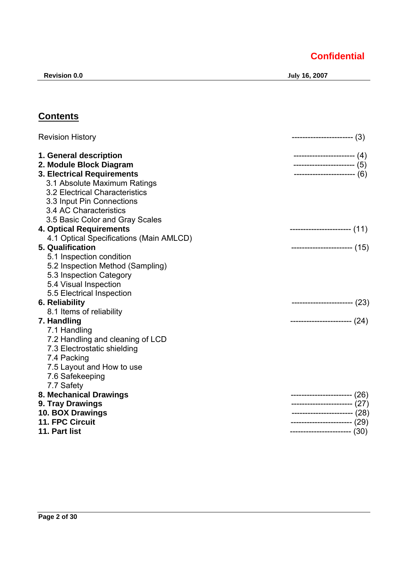**Revision 0.0 July 16, 2007** 

## **Contents**

| <b>Revision History</b>                 | ----------------------- (3)     |
|-----------------------------------------|---------------------------------|
| 1. General description                  | $--------------- (4)$           |
| 2. Module Block Diagram                 | ------------------------- $(5)$ |
| <b>3. Electrical Requirements</b>       | $-------------(6)$              |
| 3.1 Absolute Maximum Ratings            |                                 |
| 3.2 Electrical Characteristics          |                                 |
| 3.3 Input Pin Connections               |                                 |
| 3.4 AC Characteristics                  |                                 |
| 3.5 Basic Color and Gray Scales         |                                 |
| <b>4. Optical Requirements</b>          | ----------------------- (11)    |
| 4.1 Optical Specifications (Main AMLCD) |                                 |
| 5. Qualification                        | ----------------------- (15)    |
| 5.1 Inspection condition                |                                 |
| 5.2 Inspection Method (Sampling)        |                                 |
| 5.3 Inspection Category                 |                                 |
| 5.4 Visual Inspection                   |                                 |
| 5.5 Electrical Inspection               |                                 |
| 6. Reliability                          | $-------------(23)$             |
| 8.1 Items of reliability                |                                 |
| 7. Handling                             | $-------------(24)$             |
| 7.1 Handling                            |                                 |
| 7.2 Handling and cleaning of LCD        |                                 |
| 7.3 Electrostatic shielding             |                                 |
| 7.4 Packing                             |                                 |
| 7.5 Layout and How to use               |                                 |
| 7.6 Safekeeping                         |                                 |
| 7.7 Safety                              |                                 |
| 8. Mechanical Drawings                  | ----------------------- (26)    |
| 9. Tray Drawings                        | ---------------------- (27)     |
| 10. BOX Drawings                        | ----------------------- (28)    |
| 11. FPC Circuit                         | ----------------------- (29)    |
| 11. Part list                           | ----------------------- (30)    |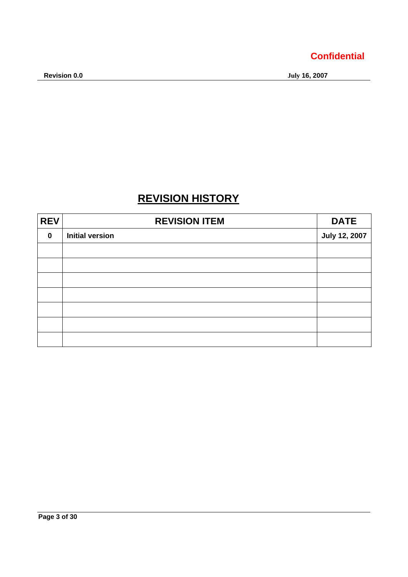## **REVISION HISTORY**

| <b>REV</b>  | <b>REVISION ITEM</b>   | <b>DATE</b>          |
|-------------|------------------------|----------------------|
| $\mathbf 0$ | <b>Initial version</b> | <b>July 12, 2007</b> |
|             |                        |                      |
|             |                        |                      |
|             |                        |                      |
|             |                        |                      |
|             |                        |                      |
|             |                        |                      |
|             |                        |                      |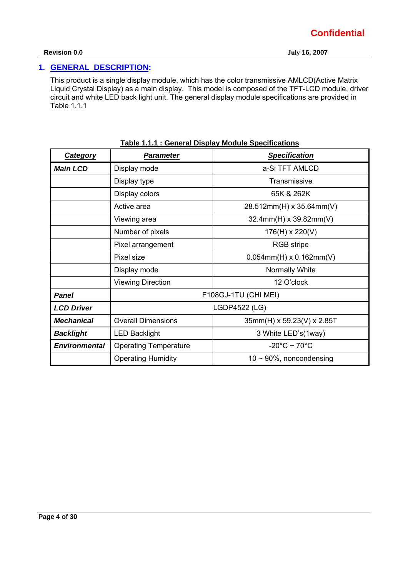## **1. GENERAL DESCRIPTION:**

This product is a single display module, which has the color transmissive AMLCD(Active Matrix Liquid Crystal Display) as a main display. This model is composed of the TFT-LCD module, driver circuit and white LED back light unit. The general display module specifications are provided in Table 1.1.1

| <b>Category</b>      | <b>Parameter</b>                            | <b>Specification</b>              |  |
|----------------------|---------------------------------------------|-----------------------------------|--|
| <b>Main LCD</b>      | Display mode                                | a-Si TFT AMLCD                    |  |
|                      | Display type                                | Transmissive                      |  |
|                      | Display colors                              | 65K & 262K                        |  |
|                      | Active area                                 | 28.512mm(H) x 35.64mm(V)          |  |
|                      | 32.4mm(H) x 39.82mm(V)<br>Viewing area      |                                   |  |
|                      | Number of pixels<br>176(H) x 220(V)         |                                   |  |
|                      | <b>RGB</b> stripe<br>Pixel arrangement      |                                   |  |
|                      | Pixel size<br>$0.054$ mm(H) x $0.162$ mm(V) |                                   |  |
|                      | Display mode                                | Normally White                    |  |
|                      | <b>Viewing Direction</b><br>12 O'clock      |                                   |  |
| <b>Panel</b>         |                                             | F108GJ-1TU (CHI MEI)              |  |
| <b>LCD Driver</b>    |                                             | LGDP4522 (LG)                     |  |
| <b>Mechanical</b>    | <b>Overall Dimensions</b>                   | 35mm(H) x 59.23(V) x 2.85T        |  |
| <b>Backlight</b>     | <b>LED Backlight</b>                        | 3 White LED's(1way)               |  |
| <b>Environmental</b> | <b>Operating Temperature</b>                | $-20^{\circ}$ C ~ 70 $^{\circ}$ C |  |
|                      | <b>Operating Humidity</b>                   | $10 \sim 90\%$ , noncondensing    |  |

#### **Table 1.1.1 : General Display Module Specifications**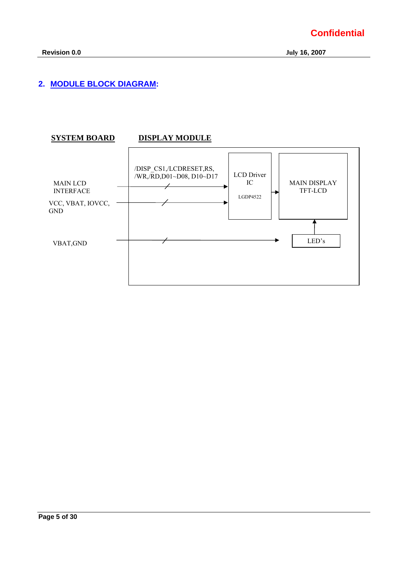## **2. MODULE BLOCK DIAGRAM:**

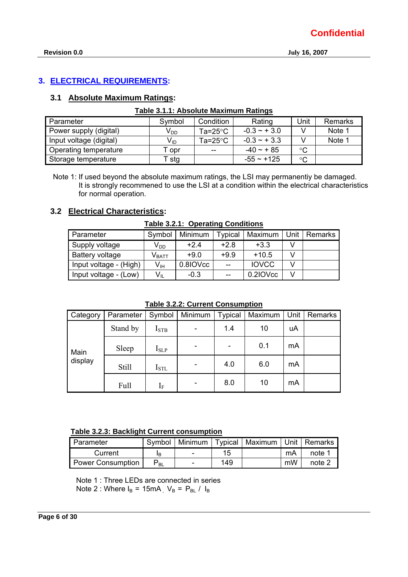## **3. ELECTRICAL REQUIREMENTS:**

## **3.1 Absolute Maximum Ratings:**

| Parameter               | Symbol          | Condition          | Rating          | Unit            | Remarks |  |  |  |
|-------------------------|-----------------|--------------------|-----------------|-----------------|---------|--|--|--|
| Power supply (digital)  | V <sub>DD</sub> | Ta= $25^{\circ}$ C | $-0.3 - +3.0$   |                 | Note 1  |  |  |  |
| Input voltage (digital) | V <sub>ID</sub> | Ta=25 $\degree$ C  | $-0.3 - 3.3$    |                 | Note 1  |  |  |  |
| Operating temperature   | Г opr           | $-$                | $-40 \sim +85$  | $^{\circ}C$     |         |  |  |  |
| Storage temperature     | Г stg           |                    | $-55 \sim +125$ | $\rm ^{\circ}C$ |         |  |  |  |

## **Table 3.1.1: Absolute Maximum Ratings**

Note 1: If used beyond the absolute maximum ratings, the LSI may permanentiy be damaged. It is strongly recommened to use the LSI at a condition within the electrical characteristics for normal operation.

## **3.2 Electrical Characteristics:**

| Table 3.2.1: Operating Conditions |  |
|-----------------------------------|--|
|-----------------------------------|--|

| Parameter              | Symbol                       | Minimum  | Typical | Maximum      |    | Unit   Remarks |
|------------------------|------------------------------|----------|---------|--------------|----|----------------|
| Supply voltage         | $\mathsf{V}_{\mathsf{DD}}$   | $+2.4$   | $+2.8$  | $+3.3$       |    |                |
| Battery voltage        | $\mathsf{V}_{\mathsf{BATT}}$ | $+9.0$   | $+9.9$  | $+10.5$      | V  |                |
| Input voltage - (High) | $V_{\text{IH}}$              | 0.8IOVcc | $- -$   | <b>IOVCC</b> |    |                |
| Input voltage - (Low)  | $V_{IL}$                     | $-0.3$   | $- -$   | 0.2IOVcc     | \/ |                |

**Table 3.2.2: Current Consumption**

| Category | Parameter    | Symbol           | Minimum | <b>Typical</b>               | Maximum | Unit | Remarks |
|----------|--------------|------------------|---------|------------------------------|---------|------|---------|
| Main     | Stand by     | I <sub>STB</sub> |         | 1.4                          | 10      | uA   |         |
|          | Sleep        | $I_{SLP}$        |         | $\qquad \qquad \blacksquare$ | 0.1     | mA   |         |
| display  | <b>Still</b> | $I_{\rm STL}$    |         | 4.0                          | 6.0     | mA   |         |
|          | Full         | $1_{\rm F}$      |         | 8.0                          | 10      | mA   |         |

### **Table 3.2.3: Backlight Current consumption**

| <b>Parameter</b>  | Symbol   |                          |     | Minimum   Typical   Maximum   Unit   Remarks |    |        |
|-------------------|----------|--------------------------|-----|----------------------------------------------|----|--------|
| Current           | ΙB       | $\overline{\phantom{a}}$ | 15  |                                              | mA | note 1 |
| Power Consumption | $P_{BL}$ | $\sim$                   | 149 |                                              | mW | note 2 |

Note 1 : Three LEDs are connected in series Note 2 : Where  $I_B = 15mA$ ,  $V_B = P_{BL} / I_B$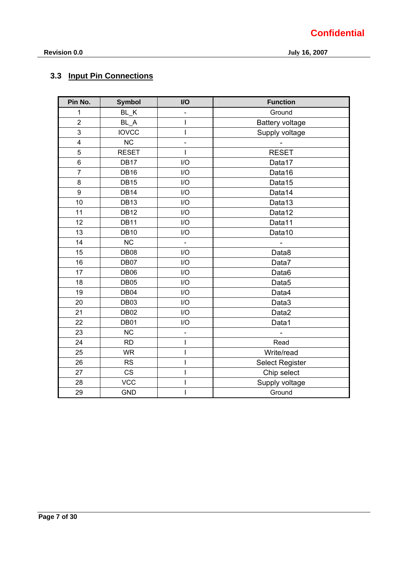## **3.3 Input Pin Connections**

| Pin No.                 | <b>Symbol</b>    | I/O                      | <b>Function</b>        |
|-------------------------|------------------|--------------------------|------------------------|
| 1                       | BL K             |                          | Ground                 |
| $\overline{2}$          | $BL_A$           | T                        | <b>Battery voltage</b> |
| 3                       | <b>IOVCC</b>     | ı                        | Supply voltage         |
| $\overline{\mathbf{4}}$ | <b>NC</b>        | $\overline{a}$           |                        |
| 5                       | <b>RESET</b>     | ı                        | <b>RESET</b>           |
| 6                       | <b>DB17</b>      | 1/O                      | Data17                 |
| $\overline{7}$          | <b>DB16</b>      | I/O                      | Data16                 |
| 8                       | <b>DB15</b>      | I/O                      | Data15                 |
| 9                       | <b>DB14</b>      | I/O                      | Data14                 |
| 10                      | DB <sub>13</sub> | 1/O                      | Data13                 |
| 11                      | <b>DB12</b>      | I/O                      | Data12                 |
| 12                      | <b>DB11</b>      | I/O                      | Data11                 |
| 13                      | <b>DB10</b>      | I/O                      | Data10                 |
| 14                      | <b>NC</b>        | $\overline{\phantom{a}}$ |                        |
| 15                      | DB08             | I/O                      | Data8                  |
| 16                      | DB07             | I/O                      | Data7                  |
| 17                      | <b>DB06</b>      | I/O                      | Data6                  |
| 18                      | DB05             | I/O                      | Data <sub>5</sub>      |
| 19                      | DB04             | I/O                      | Data4                  |
| 20                      | DB03             | I/O                      | Data3                  |
| 21                      | <b>DB02</b>      | I/O                      | Data2                  |
| 22                      | DB01             | I/O                      | Data1                  |
| 23                      | <b>NC</b>        | $\overline{a}$           |                        |
| 24                      | <b>RD</b>        | $\overline{1}$           | Read                   |
| 25                      | <b>WR</b>        | I                        | Write/read             |
| 26                      | <b>RS</b>        | $\overline{\phantom{a}}$ | <b>Select Register</b> |
| 27                      | <b>CS</b>        | ı                        | Chip select            |
| 28                      | <b>VCC</b>       | T                        | Supply voltage         |
| 29                      | <b>GND</b>       |                          | Ground                 |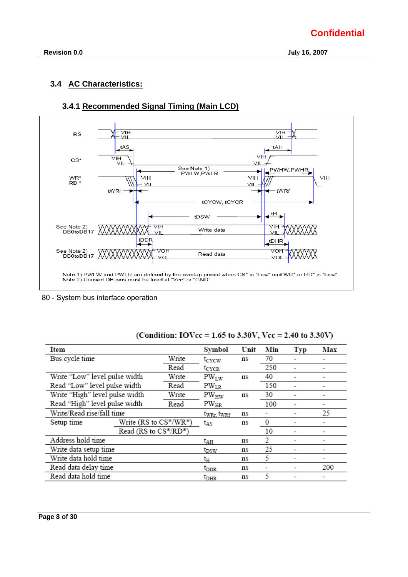## **3.4 AC Characteristics:**



## **3.4.1 Recommended Signal Timing (Main LCD)**

80 - System bus interface operation

| Item                           |                                       |                           | Symbol                      | Unit | Min | Typ | Max |
|--------------------------------|---------------------------------------|---------------------------|-----------------------------|------|-----|-----|-----|
| Bus cycle time                 |                                       | Write                     | tcycw                       | ns   | 70  |     |     |
|                                |                                       | Read                      | t <sub>cycr</sub>           |      | 250 |     |     |
| Write "Low" level pulse width  |                                       | Write                     | $PW_{LW}$                   | ns   | 40  |     |     |
| Read "Low" level pulse width   |                                       | Read                      | $PW_{LR}$                   |      | 150 |     |     |
| Write "High" level pulse width |                                       | Write                     | $PW_{HW}$                   | ns   | 30  |     |     |
|                                | Read "High" level pulse width<br>Read |                           | $PW_{HR}$                   |      | 100 |     |     |
|                                | Write/Read rise/fall time             |                           | twrr, twrf                  | ns   | ۰   |     | 25  |
| Setup time                     |                                       | Write $(RS to CS^*/WR^*)$ | tas                         | ns   | 0   |     |     |
|                                | Read (RS to CS*/RD*)                  |                           |                             |      | 10  |     |     |
| Address hold time              |                                       |                           | tдн                         | ns   | 2   |     |     |
| Write data setup time          |                                       |                           | t <sub>DSW</sub>            | ns   | 25  |     |     |
| Write data hold time           |                                       |                           | tн                          | ns   | 5   |     |     |
| Read data delay time           |                                       |                           | $t_{\rm DDR}$               | ns   | -   |     | 200 |
| Read data hold time            |                                       |                           | $\mathfrak{r}_{\text{DHR}}$ | ns   | 5   |     |     |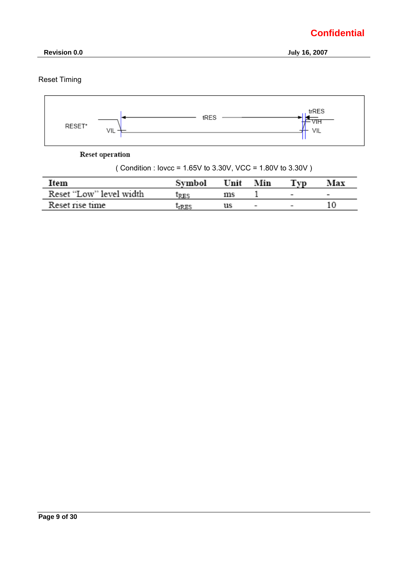

 **Revision 0.0 July 16, 2007** 

## Reset Timing



**Reset operation** 

| (Condition : lovec = $1.65V$ to 3.30V, VCC = $1.80V$ to 3.30V) |  |
|----------------------------------------------------------------|--|
|                                                                |  |

| Item                    | Svmbol | Unit | Min                      | Tvn                      | Max                      |
|-------------------------|--------|------|--------------------------|--------------------------|--------------------------|
| Reset "Low" level width | IRES   | ms   |                          | $\overline{\phantom{a}}$ | $\overline{\phantom{0}}$ |
| Reset rise time         |        | us   | $\overline{\phantom{0}}$ |                          |                          |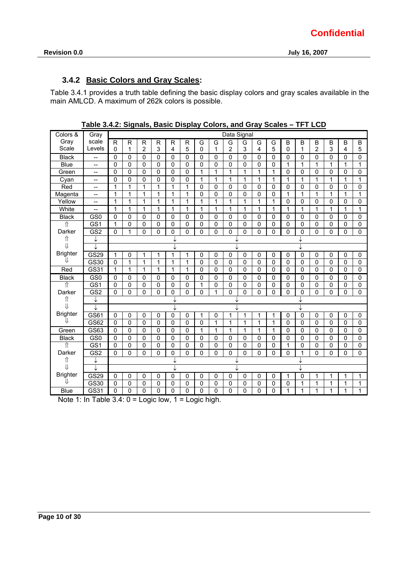## **3.4.2 Basic Colors and Gray Scales:**

Table 3.4.1 provides a truth table defining the basic display colors and gray scales available in the main AMLCD. A maximum of 262k colors is possible.

| Colors &        | Gray            |              |              |              |              |                |                |              |             | Data Signal  |              |   |              |             |             |                |                |          |              |
|-----------------|-----------------|--------------|--------------|--------------|--------------|----------------|----------------|--------------|-------------|--------------|--------------|---|--------------|-------------|-------------|----------------|----------------|----------|--------------|
| Gray            | scale           | R            | $\mathsf{R}$ | R            | R            | R              | R              | G            | G           | G            | G            | G | G            | B           | B           | B              | B              | B        | B            |
| Scale           | Levels          | $\Omega$     | 1            | 2            | 3            | 4              | 5              | 0            | 1           | 2            | 3            | 4 | 5            | 0           | 1           | 2              | 3              | 4        | 5            |
| <b>Black</b>    | --              | $\mathbf{0}$ | 0            | $\Omega$     | 0            | 0              | $\Omega$       | 0            | $\Omega$    | $\mathbf{0}$ | $\mathbf 0$  | 0 | $\mathbf{0}$ | 0           | 0           | $\mathbf 0$    | $\mathbf 0$    | 0        | 0            |
| <b>Blue</b>     | --              | $\Omega$     | $\mathbf{0}$ | $\Omega$     | $\Omega$     | $\Omega$       | $\mathbf{0}$   | $\Omega$     | $\mathbf 0$ | $\Omega$     | $\Omega$     | 0 | $\mathbf 0$  | 1           | 1           | $\mathbf{1}$   | 1              | 1        | 1            |
| Green           | --              | 0            | $\mathbf 0$  | $\mathbf 0$  | 0            | $\mathbf 0$    | 0              | $\mathbf{1}$ | 1           | $\mathbf{1}$ | 1            | 1 | $\mathbf{1}$ | $\mathbf 0$ | $\mathbf 0$ | 0              | $\mathbf 0$    | 0        | $\mathbf 0$  |
| Cyan            | $-$             | 0            | $\mathbf 0$  | $\Omega$     | $\mathbf{0}$ | $\mathbf 0$    | 0              | $\mathbf{1}$ | 1           | $\mathbf{1}$ | $\mathbf{1}$ | 1 | $\mathbf{1}$ | 1           | 1           | $\mathbf{1}$   | 1              | 1        | 1            |
| Red             | --              | 1            | 1            | 1            | 1            | 1              | $\overline{1}$ | $\mathbf 0$  | $\mathbf 0$ | $\mathbf 0$  | 0            | 0 | $\mathbf 0$  | 0           | 0           | 0              | 0              | 0        | $\Omega$     |
| Magenta         | --              | 1            | 1            | 1            | 1            | 1              | $\mathbf{1}$   | $\mathbf 0$  | $\mathbf 0$ | $\Omega$     | $\mathbf 0$  | 0 | $\mathbf 0$  | 1           | 1           | 1              | 1              | 1        | 1            |
| Yellow          | --              | 1            | 1            | 1            | 1            | 1              | 1              | 1            | 1           | 1            | 1            | 1 | 1            | 0           | 0           | 0              | $\mathbf 0$    | 0        | 0            |
| White           | --              | 1            | 1            | 1            | 1            | 1              | 1              | 1            | 1           | 1            | 1            | 1 | $\mathbf{1}$ | 1           | 1           | 1              | 1              | 1        |              |
| <b>Black</b>    | GS <sub>0</sub> | 0            | 0            | 0            | $\mathbf 0$  | $\mathbf 0$    | $\mathbf 0$    | $\mathbf 0$  | 0           | $\mathbf 0$  | 0            | 0 | 0            | 0           | 0           | $\mathbf 0$    | $\mathbf 0$    | 0        | $\mathbf 0$  |
| ⇑               | GS <sub>1</sub> | 1            | $\mathbf{0}$ | $\Omega$     | 0            | 0              | $\Omega$       | $\Omega$     | $\mathbf 0$ | $\mathbf 0$  | $\mathbf 0$  | 0 | $\mathbf 0$  | $\mathbf 0$ | 0           | $\mathbf 0$    | $\mathbf 0$    | 0        | $\Omega$     |
| Darker          | GS <sub>2</sub> | $\Omega$     | 1            | $\Omega$     | $\mathbf{0}$ | $\pmb{0}$      | 0              | $\Omega$     | $\Omega$    | 0            | $\mathbf 0$  | 0 | $\mathbf{0}$ | $\Omega$    | 0           | $\Omega$       | 0              | 0        | $\mathbf{0}$ |
| ⇑               | ↓               |              |              |              |              |                |                |              |             |              |              |   |              |             |             |                |                |          |              |
| $\mathbf{  }$   |                 |              |              |              |              |                |                |              |             |              |              |   |              |             |             |                |                |          |              |
| <b>Brighter</b> | GS29            | 1            | $\mathbf{0}$ | 1            | 1            | 1              | 1              | $\mathbf 0$  | 0           | $\mathbf 0$  | $\mathbf{0}$ | 0 | 0            | 0           | $\Omega$    | $\mathbf 0$    | 0              | 0        | 0            |
| JI.             | GS30            | 0            | 1            | 1            | 1            | 1              | $\mathbf{1}$   | $\mathbf 0$  | 0           | $\Omega$     | $\mathbf 0$  | 0 | $\mathbf 0$  | $\Omega$    | $\Omega$    | $\mathbf{0}$   | $\mathbf 0$    | 0        | 0            |
| Red             | GS31            | 1            | $\mathbf{1}$ | 1            | 1            | 1              | $\mathbf{1}$   | $\mathbf 0$  | 0           | $\Omega$     | $\mathbf{0}$ | 0 | $\mathbf{0}$ | 0           | $\Omega$    | $\mathbf 0$    | $\mathbf 0$    | 0        | 0            |
| <b>Black</b>    | GS <sub>0</sub> | $\Omega$     | 0            | 0            | $\mathbf{0}$ | $\mathbf 0$    | $\mathbf 0$    | $\mathbf 0$  | 0           | $\mathbf 0$  | $\mathbf{0}$ | 0 | $\mathbf{0}$ | 0           | $\Omega$    | $\mathbf 0$    | $\mathbf 0$    | 0        | 0            |
| ⇑               | GS1             | $\mathbf 0$  | $\mathbf{0}$ | $\mathbf{0}$ | 0            | $\mathbf 0$    | $\mathbf{0}$   | $\mathbf{1}$ | 0           | $\mathbf 0$  | $\mathbf 0$  | 0 | $\mathbf 0$  | $\mathsf 0$ | 0           | $\mathbf 0$    | $\overline{0}$ | 0        | $\Omega$     |
| Darker          | GS2             | $\mathbf 0$  | $\mathbf{0}$ | $\Omega$     | $\mathbf 0$  | 0              | 0              | $\Omega$     | 1           | $\mathbf{0}$ | $\mathbf 0$  | 0 | $\mathbf 0$  | $\mathbf 0$ | 0           | $\mathbf 0$    | 0              | $\Omega$ | $\Omega$     |
| ⇑               | ↓               |              |              |              |              |                |                |              |             |              |              |   |              |             |             |                |                |          |              |
| ⇊               | ↓               |              |              |              |              |                |                |              |             |              |              |   |              |             |             |                |                |          |              |
| <b>Brighter</b> | GS61            | 0            | 0            | 0            | 0            | 0              | 0              | 1            | 0           | 1            | 1            | 1 | 1            | 0           | $\mathbf 0$ | $\mathbf 0$    | 0              | 0        | 0            |
| ⇓               | GS62            | $\Omega$     | 0            | $\mathbf{0}$ | $\Omega$     | $\mathbf 0$    | $\mathbf 0$    | $\mathbf 0$  | 1           | 1            | 1            | 1 | 1            | $\Omega$    | $\Omega$    | 0              | $\mathbf 0$    | 0        | 0            |
| Green           | GS63            | $\mathbf 0$  | $\mathbf 0$  | $\mathbf 0$  | 0            | $\overline{0}$ | $\overline{0}$ | $\mathbf{1}$ | 1           | $\mathbf{1}$ | $\mathbf{1}$ | 1 | $\mathbf{1}$ | $\mathbf 0$ | 0           | $\overline{0}$ | $\overline{0}$ | $\Omega$ | 0            |
| <b>Black</b>    | GS0             | $\mathbf 0$  | $\mathbf 0$  | $\pmb{0}$    | 0            | $\mathbf 0$    | 0              | $\mathbf 0$  | 0           | $\mathbf 0$  | 0            | 0 | 0            | 0           | $\Omega$    | $\pmb{0}$      | $\mathbf 0$    | 0        | $\Omega$     |
| ⇑               | GS1             | $\mathbf 0$  | $\mathbf 0$  | $\mathbf 0$  | 0            | $\mathbf 0$    | 0              | $\mathbf 0$  | 0           | $\mathbf 0$  | 0            | 0 | 0            | 1           | $\Omega$    | $\pmb{0}$      | $\mathbf 0$    | 0        | 0            |
| Darker          | GS2             | $\mathbf 0$  | $\mathbf 0$  | $\Omega$     | $\Omega$     | $\mathbf 0$    | 0              | $\Omega$     | 0           | $\Omega$     | $\mathbf 0$  | 0 | $\mathbf{0}$ | $\Omega$    | 1           | $\Omega$       | 0              | $\Omega$ | $\Omega$     |
| ⇑               | ↓               |              |              |              |              |                |                |              |             |              |              |   |              |             |             |                |                |          |              |
| Jl              |                 |              |              |              |              |                |                |              |             |              |              |   |              |             |             |                |                |          |              |
| <b>Brighter</b> | GS29            | $\mathbf{0}$ | $\mathbf 0$  | $\Omega$     | $\Omega$     | $\mathbf 0$    | $\mathbf 0$    | 0            | 0           | 0            | 0            | 0 | 0            | 1           | $\Omega$    | 1              | 1              | 1        | 1            |
| $\mathbf{H}$    | GS30            | 0            | $\mathbf 0$  | 0            | 0            | 0              | $\mathbf 0$    | $\mathbf 0$  | 0           | $\mathbf 0$  | 0            | 0 | 0            | 0           | 1           | $\mathbf{1}$   | 1              | 1        | 1            |
| <b>Blue</b>     | GS31            | 0            | $\mathbf{0}$ | 0            | 0            | 0              | 0              | $\Omega$     | $\mathbf 0$ | $\mathbf{0}$ | $\mathbf 0$  | 0 | $\mathbf 0$  | 1           | 1           | 1              | 1              | 1        | 1            |

**Table 3.4.2: Signals, Basic Display Colors, and Gray Scales – TFT LCD**

Note 1: In Table 3.4: 0 = Logic low, 1 = Logic high.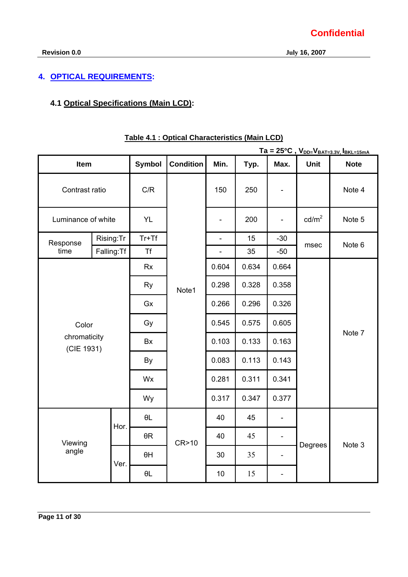## **4. OPTICAL REQUIREMENTS:**

## **4.1 Optical Specifications (Main LCD):**

|                            |                |               |                  |                          |       |                          |                   | $Ta = 25^{\circ}C$ , $V_{DD=}V_{BAT=3.3V}$ , $I_{BKL=15mA}$ |
|----------------------------|----------------|---------------|------------------|--------------------------|-------|--------------------------|-------------------|-------------------------------------------------------------|
| Item                       |                | <b>Symbol</b> | <b>Condition</b> | Min.                     | Typ.  | Max.                     | Unit              | <b>Note</b>                                                 |
|                            | Contrast ratio |               |                  | 150                      | 250   |                          |                   | Note 4                                                      |
| Luminance of white         |                | <b>YL</b>     |                  | $\overline{\phantom{a}}$ | 200   | $\overline{\phantom{0}}$ | cd/m <sup>2</sup> | Note 5                                                      |
| Response                   | Rising:Tr      | $Tr+Tf$       |                  | $\overline{a}$           | 15    | $-30$                    | msec              | Note 6                                                      |
| time                       | Falling: Tf    | <b>Tf</b>     |                  | $\overline{\phantom{a}}$ | 35    | $-50$                    |                   |                                                             |
|                            |                | <b>Rx</b>     |                  | 0.604                    | 0.634 | 0.664                    |                   |                                                             |
|                            |                | <b>Ry</b>     | Note1            | 0.298                    | 0.328 | 0.358                    |                   | Note 7                                                      |
|                            |                | Gx            |                  | 0.266                    | 0.296 | 0.326                    |                   |                                                             |
| Color                      |                | Gy            |                  | 0.545                    | 0.575 | 0.605                    |                   |                                                             |
| chromaticity<br>(CIE 1931) |                | Bx            |                  | 0.103                    | 0.133 | 0.163                    |                   |                                                             |
|                            |                |               |                  | 0.083                    | 0.113 | 0.143                    |                   |                                                             |
|                            |                | Wx            |                  | 0.281                    | 0.311 | 0.341                    |                   |                                                             |
|                            |                | Wy            |                  | 0.317                    | 0.347 | 0.377                    |                   |                                                             |
|                            | Hor.           | $\theta L$    |                  | 40                       | 45    | $\overline{a}$           |                   |                                                             |
| Viewing                    |                | $\theta R$    | CR>10            | 40                       | 45    | $\qquad \qquad -$        |                   |                                                             |
| angle                      | Ver.           | $\theta$ H    |                  | 30                       | 35    | $\overline{\phantom{a}}$ | Degrees           | Note 3                                                      |
|                            |                | $\theta L$    |                  | 10                       | 15    | $\overline{\phantom{0}}$ |                   |                                                             |

## **Table 4.1 : Optical Characteristics (Main LCD)**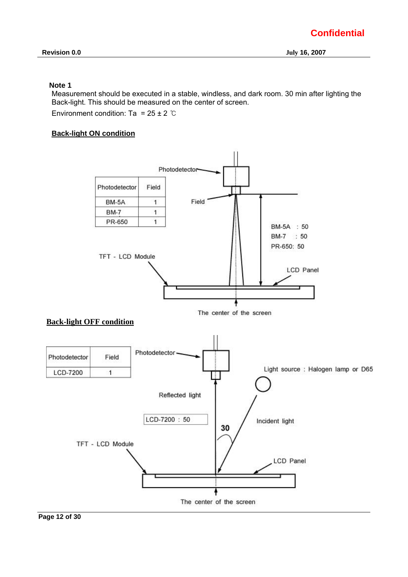#### **Note 1**

Measurement should be executed in a stable, windless, and dark room. 30 min after lighting the Back-light. This should be measured on the center of screen.

Environment condition: Ta =  $25 \pm 2$  ℃

#### **Back-light ON condition**

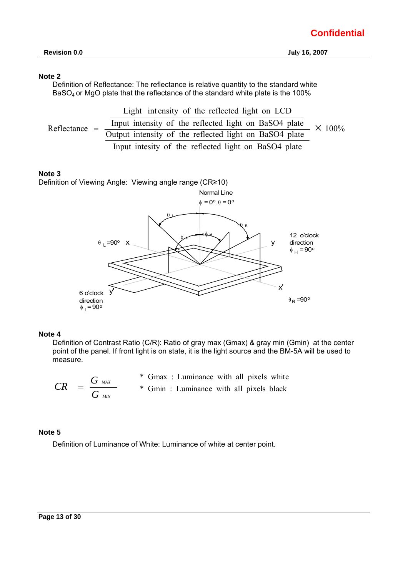#### **Note 2**

Definition of Reflectance: The reflectance is relative quantity to the standard white BaSO4 or MgO plate that the reflectance of the standard white plate is the 100%

 100% Input intesity of the reflected light on BaSO4 plate Output intensity of the reflected light on BaSO4 plate Input intensity of the reflected light on BaSO4 plate Light int ensity of the reflected light on LCD Reflectance <sup>=</sup> ×

#### **Note 3**

Definition of Viewing Angle: Viewing angle range (CR≥10)



#### **Note 4**

Definition of Contrast Ratio (C/R): Ratio of gray max (Gmax) & gray min (Gmin) at the center point of the panel. If front light is on state, it is the light source and the BM-5A will be used to measure.

|    | $G$ MAX                                | * Gmax : Luminance with all pixels white |
|----|----------------------------------------|------------------------------------------|
| CR | $\cdot$ = $\cdot$ = $\cdot$<br>$G$ MIN | * Gmin: Luminance with all pixels black  |

#### **Note 5**

Definition of Luminance of White: Luminance of white at center point.

#### **Page 13 of 30**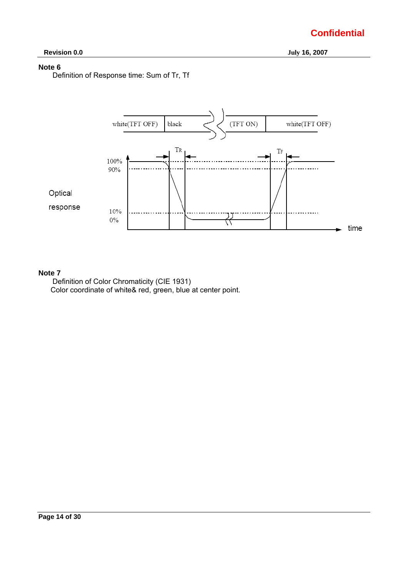## **Note 6**

Definition of Response time: Sum of Tr, Tf



#### **Note 7**

Definition of Color Chromaticity (CIE 1931) Color coordinate of white& red, green, blue at center point.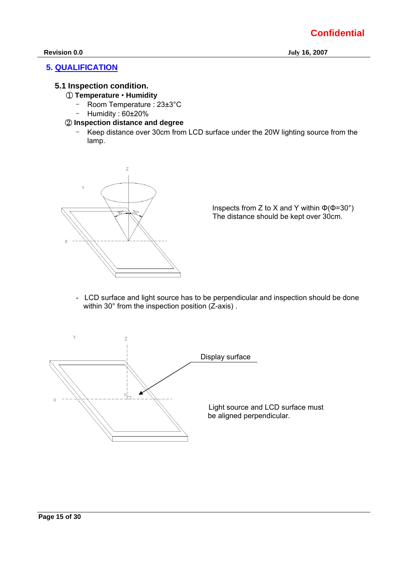## **5. QUALIFICATION**

## **5.1 Inspection condition.**

- ① **Temperature** • **Humidity** 
	- Room Temperature : 23±3°C
	- Humidity : 60±20%

### ② **Inspection distance and degree**

- Keep distance over 30cm from LCD surface under the 20W lighting source from the lamp.



Inspects from Z to X and Y within  $\Phi$ ( $\Phi$ =30°) The distance should be kept over 30cm.

- LCD surface and light source has to be perpendicular and inspection should be done within 30° from the inspection position (Z-axis).

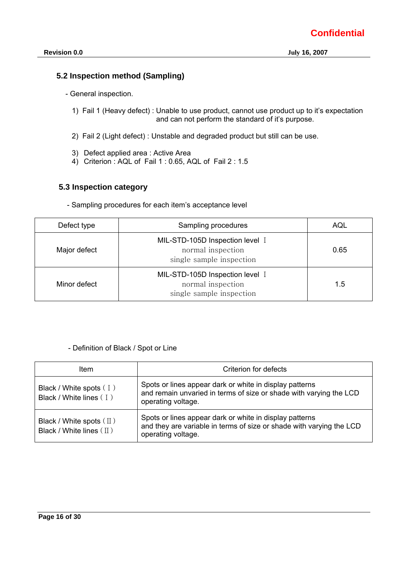## **5.2 Inspection method (Sampling)**

- General inspection.
	- 1) Fail 1 (Heavy defect) : Unable to use product, cannot use product up to it's expectation and can not perform the standard of it's purpose.
	- 2) Fail 2 (Light defect) : Unstable and degraded product but still can be use.
	- 3) Defect applied area : Active Area
	- 4) Criterion : AQL of Fail 1 : 0.65, AQL of Fail 2 : 1.5

### **5.3 Inspection category**

- Sampling procedures for each item's acceptance level

| Defect type  | Sampling procedures                                                              | AQL  |
|--------------|----------------------------------------------------------------------------------|------|
| Major defect | MIL-STD-105D Inspection level I<br>normal inspection<br>single sample inspection | 0.65 |
| Minor defect | MIL-STD-105D Inspection level I<br>normal inspection<br>single sample inspection | 1.5  |

### - Definition of Black / Spot or Line

| ltem                                                             | Criterion for defects                                                                                                                                 |
|------------------------------------------------------------------|-------------------------------------------------------------------------------------------------------------------------------------------------------|
| Black / White spots (I)<br>Black / White lines (I)               | Spots or lines appear dark or white in display patterns<br>and remain unvaried in terms of size or shade with varying the LCD<br>operating voltage.   |
| Black / White spots $(\mathbb{I})$<br>Black / White lines $(II)$ | Spots or lines appear dark or white in display patterns<br>and they are variable in terms of size or shade with varying the LCD<br>operating voltage. |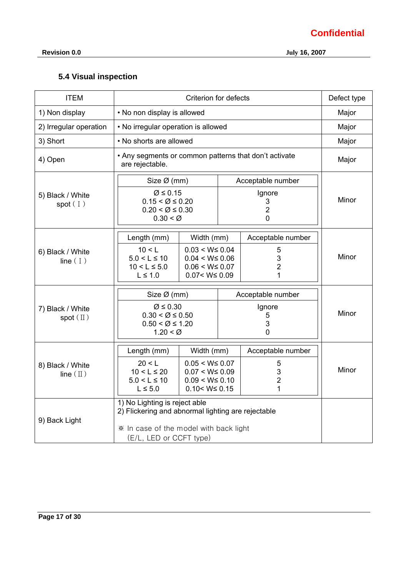**Revision 0.0 July 16, 2007** 

## **5.4 Visual inspection**

| <b>ITEM</b>                             |                                                                                                                                                               | Defect type                 |                               |                                                 |       |  |  |
|-----------------------------------------|---------------------------------------------------------------------------------------------------------------------------------------------------------------|-----------------------------|-------------------------------|-------------------------------------------------|-------|--|--|
| 1) Non display                          |                                                                                                                                                               | • No non display is allowed |                               |                                                 |       |  |  |
| 2) Irregular operation                  | • No irregular operation is allowed                                                                                                                           |                             |                               |                                                 | Major |  |  |
| 3) Short                                | • No shorts are allowed                                                                                                                                       |                             |                               |                                                 | Major |  |  |
| 4) Open                                 | • Any segments or common patterns that don't activate<br>are rejectable.                                                                                      |                             |                               |                                                 | Major |  |  |
|                                         | Size $\varnothing$ (mm)                                                                                                                                       |                             |                               | Acceptable number                               |       |  |  |
| 5) Black / White<br>spot(1)             | Ø ≤ 0.15<br>$0.15 < \emptyset \leq 0.20$<br>$0.20 < \emptyset \leq 0.30$<br>$0.30 < \emptyset$                                                                |                             |                               | Ignore<br>3<br>$\overline{2}$<br>$\overline{0}$ | Minor |  |  |
|                                         | Length (mm)                                                                                                                                                   | Width (mm)                  |                               | Acceptable number                               |       |  |  |
| 6) Black / White<br>line $(1)$          | 10 < L<br>$0.03 < W \le 0.04$<br>$5.0 < L \le 10$<br>$0.04 < W \leq 0.06$<br>$10 < L \le 5.0$<br>$0.06 < W \leq 0.07$<br>$L \leq 1.0$<br>$0.07 < W \leq 0.09$ |                             | 5<br>3<br>$\overline{c}$<br>1 |                                                 | Minor |  |  |
|                                         | Size Ø (mm)                                                                                                                                                   |                             |                               | Acceptable number                               |       |  |  |
| 7) Black / White<br>spot $(\mathbb{I})$ | $\varnothing \leq 0.30$<br>$0.30 < \emptyset \leq 0.50$<br>$0.50 < \emptyset \le 1.20$<br>$1.20 < \emptyset$                                                  |                             |                               | Ignore<br>5<br>3<br>$\overline{0}$              | Minor |  |  |
|                                         | Length (mm)                                                                                                                                                   | Width (mm)                  |                               | Acceptable number                               |       |  |  |
| 8) Black / White<br>line $(\Pi)$        | 20 < L<br>$0.05 < W \leq 0.07$<br>$10 < L \le 20$<br>$0.07 < W \leq 0.09$<br>$5.0 < L \le 10$<br>$0.09 < W \le 0.10$<br>$L \leq 5.0$<br>$0.10 < W \le 0.15$   |                             | 5<br>3<br>$\overline{c}$<br>1 |                                                 | Minor |  |  |
| 9) Back Light                           | 1) No Lighting is reject able<br>2) Flickering and abnormal lighting are rejectable<br>* In case of the model with back light<br>(E/L, LED or CCFT type)      |                             |                               |                                                 |       |  |  |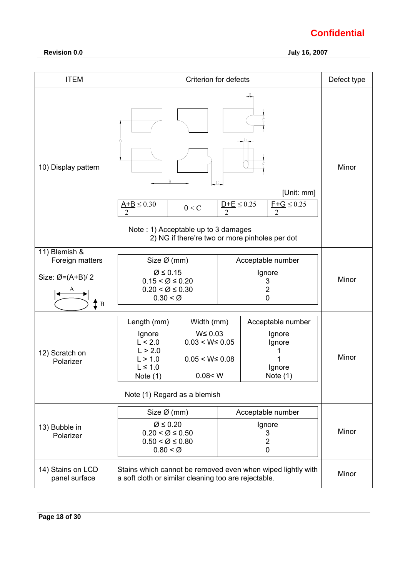| <b>ITEM</b>                           |                                                                                                                                                                                                                 | Criterion for defects |                                                               | Defect type |
|---------------------------------------|-----------------------------------------------------------------------------------------------------------------------------------------------------------------------------------------------------------------|-----------------------|---------------------------------------------------------------|-------------|
| 10) Display pattern                   | $A+B \leq 0.30$<br>0 < C<br>$\mathfrak{D}$<br>Note: 1) Acceptable up to 3 damages<br>2) NG if there're two or more pinholes per dot                                                                             | Minor                 |                                                               |             |
| 11) Blemish &<br>Foreign matters      | Size Ø (mm)                                                                                                                                                                                                     |                       | Acceptable number                                             |             |
| Size: $Ø=(A+B)/2$<br>$\updownarrow$ B | Ø ≤ 0.15<br>$0.15 < \emptyset \leq 0.20$<br>$0.20 < \emptyset \leq 0.30$<br>$0.30 < \emptyset$                                                                                                                  |                       | Ignore<br>3<br>2<br>$\mathbf 0$                               | Minor       |
| 12) Scratch on<br>Polarizer           | Length (mm)<br>Width (mm)<br>$W \leq 0.03$<br>Ignore<br>L < 2.0<br>$0.03 < W \leq 0.05$<br>L > 2.0<br>L > 1.0<br>$0.05 < W \leq 0.08$<br>$L \leq 1.0$<br>Note $(1)$<br>0.08 < W<br>Note (1) Regard as a blemish |                       | Acceptable number<br>Ignore<br>Ignore<br>Ignore<br>Note $(1)$ | Minor       |
| 13) Bubble in<br>Polarizer            | Size $\varnothing$ (mm)<br>$\varnothing \leq 0.20$<br>$0.20 < \emptyset \leq 0.50$<br>$0.50 < \emptyset \leq 0.80$<br>$0.80 < \emptyset$                                                                        |                       | Acceptable number<br>Ignore<br>3<br>2<br>0                    | Minor       |
| 14) Stains on LCD<br>panel surface    | Stains which cannot be removed even when wiped lightly with<br>a soft cloth or similar cleaning too are rejectable.                                                                                             | Minor                 |                                                               |             |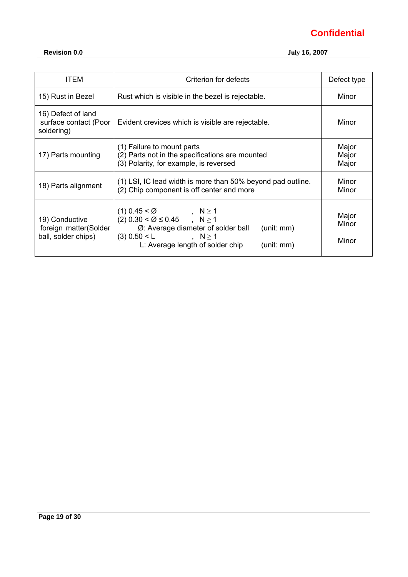| <b>ITEM</b>                                                    | Criterion for defects                                                                                                                                                                              | Defect type             |
|----------------------------------------------------------------|----------------------------------------------------------------------------------------------------------------------------------------------------------------------------------------------------|-------------------------|
| 15) Rust in Bezel                                              | Rust which is visible in the bezel is rejectable.                                                                                                                                                  | Minor                   |
| 16) Defect of land<br>surface contact (Poor<br>soldering)      | Evident crevices which is visible are rejectable.                                                                                                                                                  | Minor                   |
| 17) Parts mounting                                             | (1) Failure to mount parts<br>(2) Parts not in the specifications are mounted<br>(3) Polarity, for example, is reversed                                                                            | Major<br>Major<br>Major |
| 18) Parts alignment                                            | (1) LSI, IC lead width is more than 50% beyond pad outline.<br>(2) Chip component is off center and more                                                                                           | Minor<br>Minor          |
| 19) Conductive<br>foreign matter(Solder<br>ball, solder chips) | $(1)$ 0.45 < Ø , N $\geq$ 1<br>$(2)$ 0.30 < Ø ≤ 0.45 , N ≥ 1<br>Ø: Average diameter of solder ball<br>(unit: mm)<br>$(3)$ 0.50 < L<br>$N \geq 1$<br>L: Average length of solder chip<br>(unit: mm) | Major<br>Minor<br>Minor |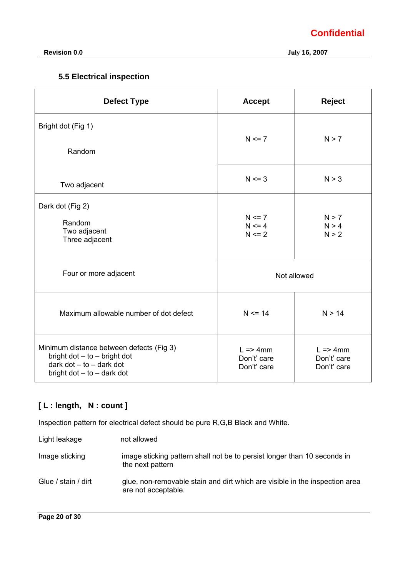**Revision 0.0 July 16, 2007** 

## **5.5 Electrical inspection**

| <b>Defect Type</b>                                                                                                                       | <b>Accept</b>                                     | <b>Reject</b>                                     |
|------------------------------------------------------------------------------------------------------------------------------------------|---------------------------------------------------|---------------------------------------------------|
| Bright dot (Fig 1)<br>Random                                                                                                             | $N \le 7$                                         | N > 7                                             |
| Two adjacent                                                                                                                             | $N \le 3$                                         | N > 3                                             |
| Dark dot (Fig 2)<br>Random<br>Two adjacent<br>Three adjacent                                                                             | $N \le 7$<br>$N \le 4$<br>$N \le 2$               | N > 7<br>N > 4<br>N > 2                           |
| Four or more adjacent                                                                                                                    |                                                   | Not allowed                                       |
| Maximum allowable number of dot defect                                                                                                   | $N \le 14$                                        | N > 14                                            |
| Minimum distance between defects (Fig 3)<br>bright $dot - to - bright dot$<br>dark $dot - to -$ dark dot<br>bright $dot - to - dark$ dot | $L \Rightarrow 4mm$<br>Don't' care<br>Don't' care | $L \Rightarrow 4mm$<br>Don't' care<br>Don't' care |

## **[ L : length, N : count ]**

Inspection pattern for electrical defect should be pure R,G,B Black and White.

| Light leakage       | not allowed                                                                                        |
|---------------------|----------------------------------------------------------------------------------------------------|
| Image sticking      | image sticking pattern shall not be to persist longer than 10 seconds in<br>the next pattern       |
| Glue / stain / dirt | glue, non-removable stain and dirt which are visible in the inspection area<br>are not acceptable. |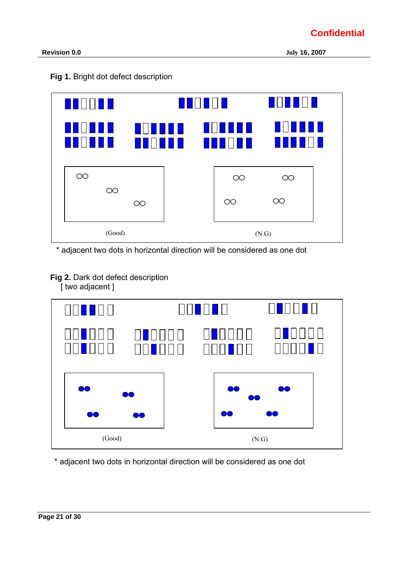



\* adjacent two dots in horizontal direction will be considered as one dot

**Fig 2.** Dark dot defect description

[ two adjacent ]



\* adjacent two dots in horizontal direction will be considered as one dot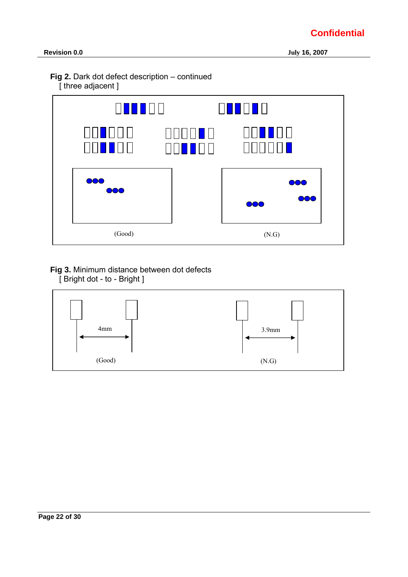**Revision 0.0 July 16, 2007** 





## **Fig 3.** Minimum distance between dot defects [ Bright dot - to - Bright ]

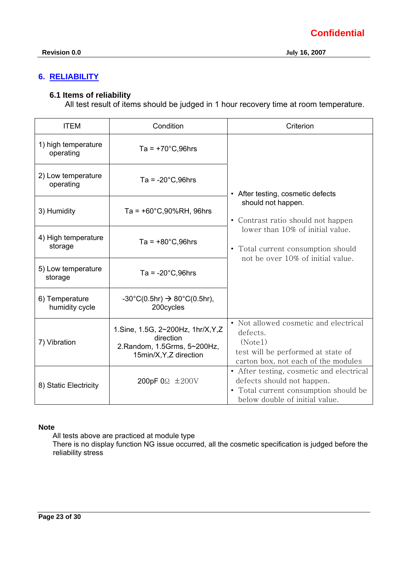## **6. RELIABILITY**

## **6.1 Items of reliability**

All test result of items should be judged in 1 hour recovery time at room temperature.

| <b>ITEM</b>                      | Condition                                                                                                    | Criterion                                                                                                                                                                                                    |  |  |
|----------------------------------|--------------------------------------------------------------------------------------------------------------|--------------------------------------------------------------------------------------------------------------------------------------------------------------------------------------------------------------|--|--|
| 1) high temperature<br>operating | $Ta = +70^{\circ}C,96hrs$                                                                                    | • After testing, cosmetic defects<br>should not happen.<br>• Contrast ratio should not happen<br>lower than 10% of initial value.<br>• Total current consumption should<br>not be over 10% of initial value. |  |  |
| 2) Low temperature<br>operating  | Ta = $-20^{\circ}$ C,96hrs                                                                                   |                                                                                                                                                                                                              |  |  |
| 3) Humidity                      | $Ta = +60^{\circ}C,90\%RH,96hrs$                                                                             |                                                                                                                                                                                                              |  |  |
| 4) High temperature<br>storage   | $Ta = +80^{\circ}C,96hrs$                                                                                    |                                                                                                                                                                                                              |  |  |
| 5) Low temperature<br>storage    | Ta = $-20^{\circ}$ C,96hrs                                                                                   |                                                                                                                                                                                                              |  |  |
| 6) Temperature<br>humidity cycle | $-30^{\circ}C(0.5hr) \rightarrow 80^{\circ}C(0.5hr)$ ,<br>200cycles                                          |                                                                                                                                                                                                              |  |  |
| 7) Vibration                     | 1. Sine, 1.5G, 2~200Hz, 1hr/X, Y, Z<br>direction<br>2. Random, 1.5 Grms, 5~200Hz,<br>15min/X, Y, Z direction | • Not allowed cosmetic and electrical<br>defects.<br>(Note1)<br>test will be performed at state of<br>carton box, not each of the modules                                                                    |  |  |
| 8) Static Electricity            | 200pF 0 $\Omega$ $\pm$ 200V                                                                                  | • After testing, cosmetic and electrical<br>defects should not happen.<br>• Total current consumption should be<br>below double of initial value.                                                            |  |  |

### **Note**

All tests above are practiced at module type

 There is no display function NG issue occurred, all the cosmetic specification is judged before the reliability stress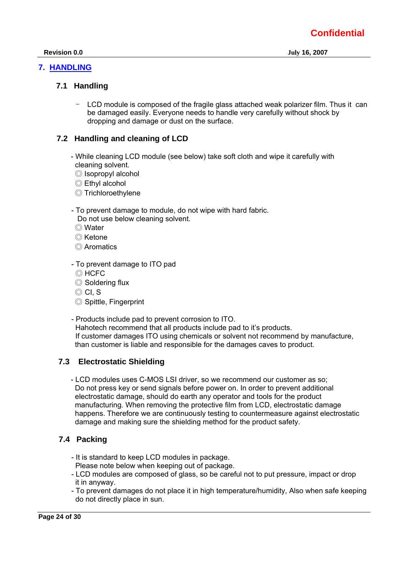## **7. HANDLING**

## **7.1 Handling**

LCD module is composed of the fragile glass attached weak polarizer film. Thus it can be damaged easily. Everyone needs to handle very carefully without shock by dropping and damage or dust on the surface.

## **7.2 Handling and cleaning of LCD**

- While cleaning LCD module (see below) take soft cloth and wipe it carefully with cleaning solvent.
	- ◎ Isopropyl alcohol
	- ◎ Ethyl alcohol
	- ◎ Trichloroethylene
- To prevent damage to module, do not wipe with hard fabric. Do not use below cleaning solvent.
	- ◎ Water
	- ◎ Ketone
	- ◎ Aromatics
- To prevent damage to ITO pad
	- ◎ HCFC
	- ◎ Soldering flux
	- ◎ CI, S
	- ◎ Spittle, Fingerprint
- Products include pad to prevent corrosion to ITO. Hahotech recommend that all products include pad to it's products. If customer damages ITO using chemicals or solvent not recommend by manufacture, than customer is liable and responsible for the damages caves to product.

## **7.3 Electrostatic Shielding**

 - LCD modules uses C-MOS LSI driver, so we recommend our customer as so; Do not press key or send signals before power on. In order to prevent additional electrostatic damage, should do earth any operator and tools for the product manufacturing. When removing the protective film from LCD, electrostatic damage happens. Therefore we are continuously testing to countermeasure against electrostatic damage and making sure the shielding method for the product safety.

## **7.4 Packing**

- It is standard to keep LCD modules in package. Please note below when keeping out of package.
- LCD modules are composed of glass, so be careful not to put pressure, impact or drop it in anyway.
- To prevent damages do not place it in high temperature/humidity, Also when safe keeping do not directly place in sun.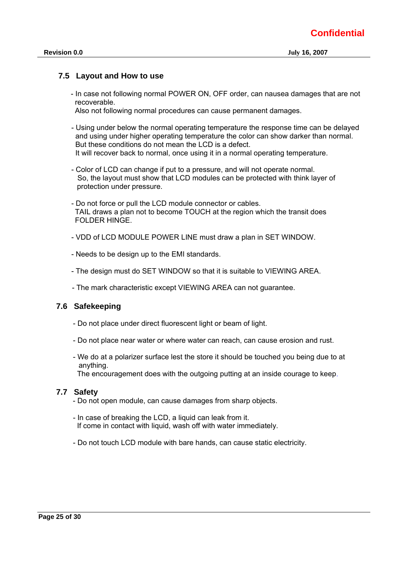#### **7.5 Layout and How to use**

 - In case not following normal POWER ON, OFF order, can nausea damages that are not recoverable.

Also not following normal procedures can cause permanent damages.

- Using under below the normal operating temperature the response time can be delayed and using under higher operating temperature the color can show darker than normal. But these conditions do not mean the LCD is a defect. It will recover back to normal, once using it in a normal operating temperature.
- Color of LCD can change if put to a pressure, and will not operate normal. So, the layout must show that LCD modules can be protected with think layer of protection under pressure.
- Do not force or pull the LCD module connector or cables. TAIL draws a plan not to become TOUCH at the region which the transit does FOLDER HINGE.
- VDD of LCD MODULE POWER LINE must draw a plan in SET WINDOW.
- Needs to be design up to the EMI standards.
- The design must do SET WINDOW so that it is suitable to VIEWING AREA.
- The mark characteristic except VIEWING AREA can not guarantee.

#### **7.6 Safekeeping**

- Do not place under direct fluorescent light or beam of light.
- Do not place near water or where water can reach, can cause erosion and rust.
- We do at a polarizer surface lest the store it should be touched you being due to at anything.

The encouragement does with the outgoing putting at an inside courage to keep.

#### **7.7 Safety**

- Do not open module, can cause damages from sharp objects.
- In case of breaking the LCD, a liquid can leak from it. If come in contact with liquid, wash off with water immediately.
- Do not touch LCD module with bare hands, can cause static electricity.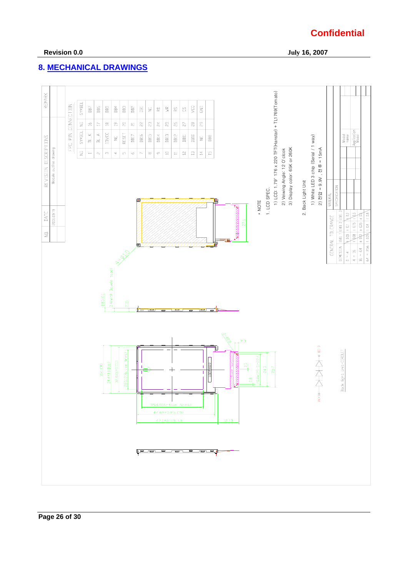## **8. MECHANICAL DRAWINGS**

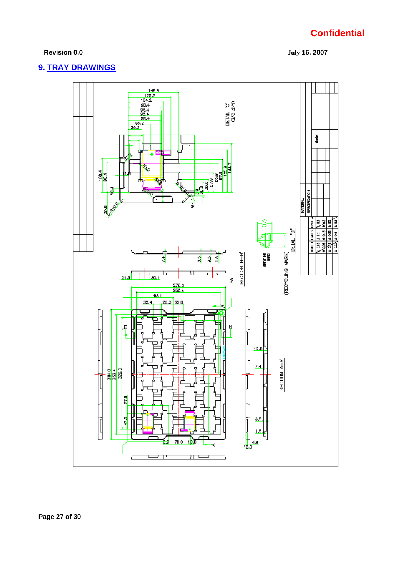### **Revision 0.0 July 16, 2007**

## **9. TRAY DRAWINGS**

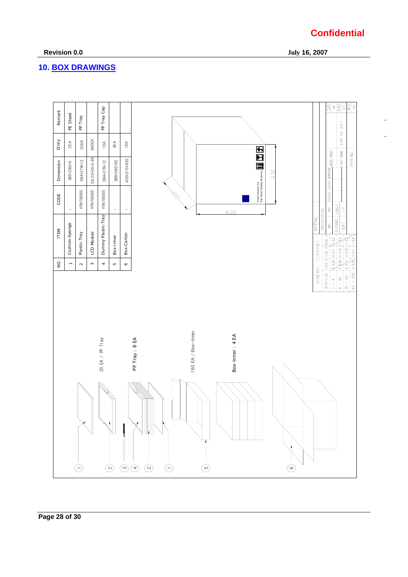## **10. BOX DRAWINGS**



## **Confidential**

 $\overline{\phantom{a}}$ 

 **Revision 0.0 July 16, 2007**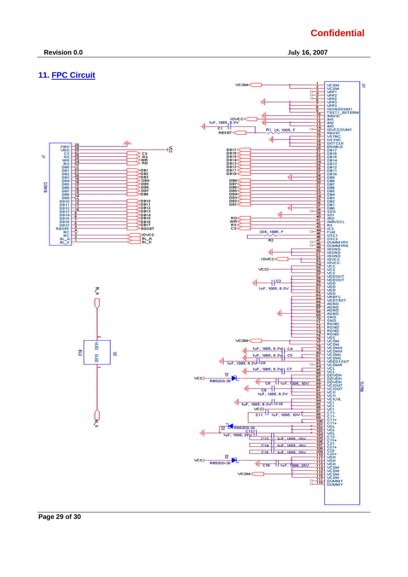## **11. FPC Circuit**